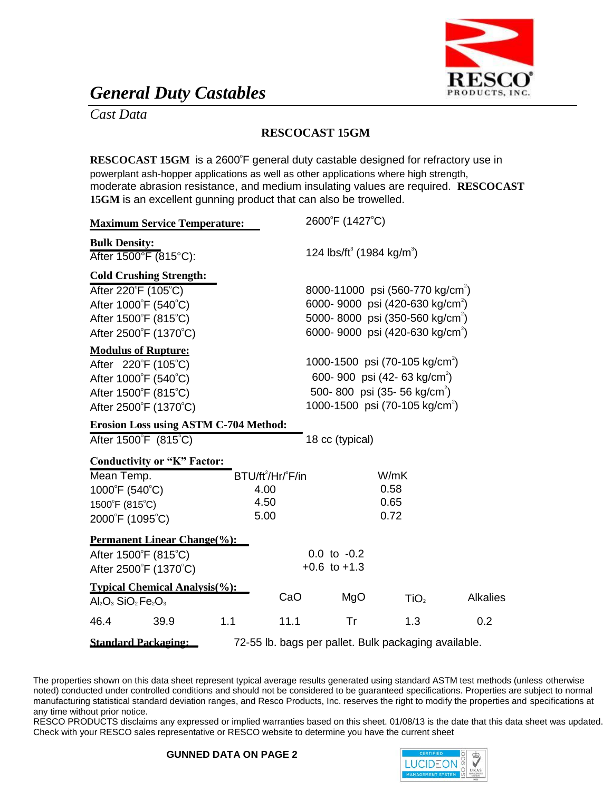

## *General Duty Castables*

*Cast Data*

## **RESCOCAST 15GM**

RESCOCAST 15GM is a 2600°F general duty castable designed for refractory use in powerplant ash-hopper applications as well as other applications where high strength, moderate abrasion resistance, and medium insulating values are required. **RESCOCAST 15GM** is an excellent gunning product that can also be trowelled.

| <b>Maximum Service Temperature:</b>                                                |     |                        | 2600°F (1427°C)                                   |                                              |                 |
|------------------------------------------------------------------------------------|-----|------------------------|---------------------------------------------------|----------------------------------------------|-----------------|
| <b>Bulk Density:</b><br>After 1500°F (815°C):                                      |     |                        | 124 lbs/ft <sup>3</sup> (1984 kg/m <sup>3</sup> ) |                                              |                 |
| <b>Cold Crushing Strength:</b>                                                     |     |                        |                                                   |                                              |                 |
| After 220°F (105°C)                                                                |     |                        |                                                   | 8000-11000 psi (560-770 kg/cm <sup>2</sup> ) |                 |
| After 1000°F (540°C)                                                               |     |                        |                                                   | 6000-9000 psi (420-630 kg/cm <sup>2</sup> )  |                 |
| After 1500°F (815°C)                                                               |     |                        |                                                   | 5000-8000 psi (350-560 kg/cm <sup>2</sup> )  |                 |
| After 2500°F (1370°C)                                                              |     |                        |                                                   | 6000-9000 psi (420-630 kg/cm <sup>2</sup> )  |                 |
| <b>Modulus of Rupture:</b>                                                         |     |                        |                                                   |                                              |                 |
| After 220°F (105°C)                                                                |     |                        |                                                   | 1000-1500 psi (70-105 kg/cm <sup>2</sup> )   |                 |
| After 1000°F (540°C)                                                               |     |                        |                                                   | 600-900 psi (42-63 kg/cm <sup>2</sup> )      |                 |
| After 1500°F (815°C)                                                               |     |                        |                                                   | 500-800 psi (35-56 kg/cm <sup>2</sup> )      |                 |
| After 2500°F (1370°C)                                                              |     |                        |                                                   | 1000-1500 psi (70-105 kg/cm <sup>2</sup> )   |                 |
| <b>Erosion Loss using ASTM C-704 Method:</b>                                       |     |                        |                                                   |                                              |                 |
| After 1500°F (815°C)                                                               |     |                        | 18 cc (typical)                                   |                                              |                 |
| <b>Conductivity or "K" Factor:</b>                                                 |     |                        |                                                   |                                              |                 |
| Mean Temp.                                                                         |     | $BTU/ft^2/Hr/{}^PFi/n$ |                                                   | W/mK                                         |                 |
| 1000°F (540°C)                                                                     |     | 4.00                   |                                                   | 0.58                                         |                 |
| 1500°F (815°C)                                                                     |     | 4.50                   |                                                   | 0.65                                         |                 |
| 2000°F (1095°C)                                                                    |     | 5.00                   |                                                   | 0.72                                         |                 |
| <b>Permanent Linear Change(%):</b>                                                 |     |                        |                                                   |                                              |                 |
| After 1500°F (815°C)                                                               |     |                        | $0.0$ to $-0.2$                                   |                                              |                 |
| After 2500°F (1370°C)                                                              |     |                        | $+0.6$ to $+1.3$                                  |                                              |                 |
| <b>Typical Chemical Analysis(%):</b>                                               |     |                        |                                                   |                                              |                 |
| $Al_2O_3$ SiO <sub>2</sub> Fe <sub>2</sub> O <sub>3</sub>                          |     | CaO                    | MgO                                               | TiO <sub>2</sub>                             | <b>Alkalies</b> |
| 46.4<br>39.9                                                                       | 1.1 | 11.1                   | Tr                                                | 1.3                                          | 0.2             |
| <b>Standard Packaging:</b><br>72-55 lb. bags per pallet. Bulk packaging available. |     |                        |                                                   |                                              |                 |

The properties shown on this data sheet represent typical average results generated using standard ASTM test methods (unless otherwise noted) conducted under controlled conditions and should not be considered to be guaranteed specifications. Properties are subject to normal manufacturing statistical standard deviation ranges, and Resco Products, Inc. reserves the right to modify the properties and specifications at any time without prior notice.

RESCO PRODUCTS disclaims any expressed or implied warranties based on this sheet. 01/08/13 is the date that this data sheet was updated. Check with your RESCO sales representative or RESCO website to determine you have the current sheet

## **GUNNED DATA ON PAGE 2**